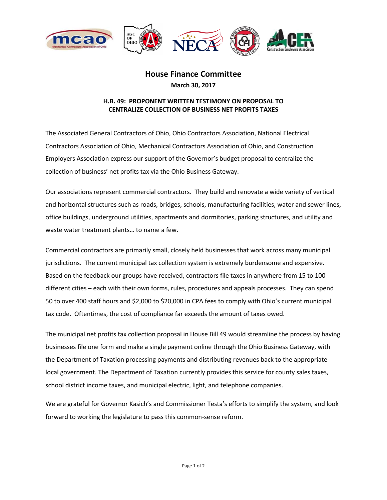

## **House Finance Committee March 30, 2017**

## **H.B. 49: PROPONENT WRITTEN TESTIMONY ON PROPOSAL TO CENTRALIZE COLLECTION OF BUSINESS NET PROFITS TAXES**

The Associated General Contractors of Ohio, Ohio Contractors Association, National Electrical Contractors Association of Ohio, Mechanical Contractors Association of Ohio, and Construction Employers Association express our support of the Governor's budget proposal to centralize the collection of business' net profits tax via the Ohio Business Gateway.

Our associations represent commercial contractors. They build and renovate a wide variety of vertical and horizontal structures such as roads, bridges, schools, manufacturing facilities, water and sewer lines, office buildings, underground utilities, apartments and dormitories, parking structures, and utility and waste water treatment plants… to name a few.

Commercial contractors are primarily small, closely held businesses that work across many municipal jurisdictions. The current municipal tax collection system is extremely burdensome and expensive. Based on the feedback our groups have received, contractors file taxes in anywhere from 15 to 100 different cities – each with their own forms, rules, procedures and appeals processes. They can spend 50 to over 400 staff hours and \$2,000 to \$20,000 in CPA fees to comply with Ohio's current municipal tax code. Oftentimes, the cost of compliance far exceeds the amount of taxes owed.

The municipal net profits tax collection proposal in House Bill 49 would streamline the process by having businesses file one form and make a single payment online through the Ohio Business Gateway, with the Department of Taxation processing payments and distributing revenues back to the appropriate local government. The Department of Taxation currently provides this service for county sales taxes, school district income taxes, and municipal electric, light, and telephone companies.

We are grateful for Governor Kasich's and Commissioner Testa's efforts to simplify the system, and look forward to working the legislature to pass this common-sense reform.